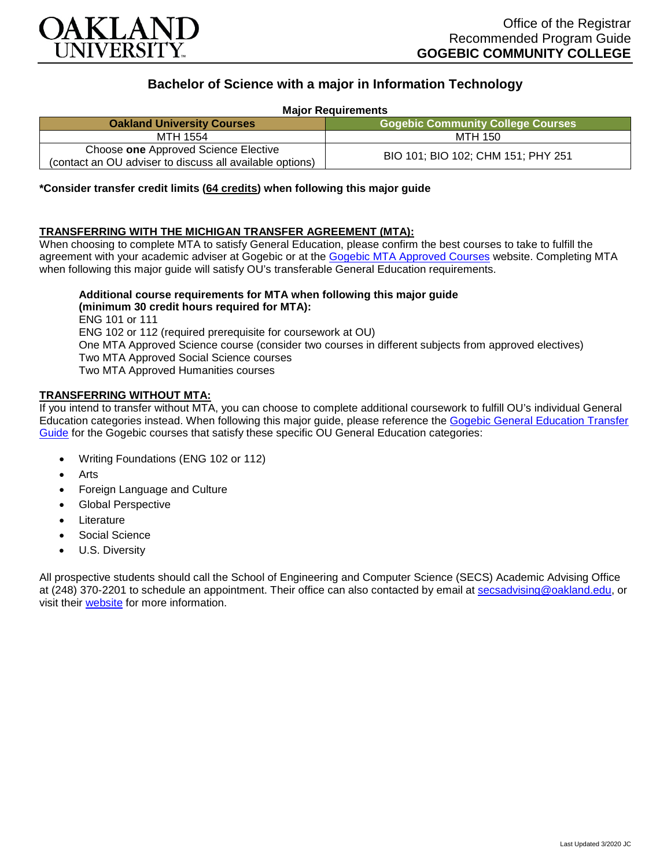

# **Bachelor of Science with a major in Information Technology**

**Major Requirements**

| <b>Oakland University Courses</b>                                                                | <b>Gogebic Community College Courses</b> |
|--------------------------------------------------------------------------------------------------|------------------------------------------|
| MTH 1554                                                                                         | MTH 150                                  |
| Choose one Approved Science Elective<br>(contact an OU adviser to discuss all available options) | BIO 101; BIO 102; CHM 151; PHY 251       |

# **\*Consider transfer credit limits (64 credits) when following this major guide**

# **TRANSFERRING WITH THE MICHIGAN TRANSFER AGREEMENT (MTA):**

When choosing to complete MTA to satisfy General Education, please confirm the best courses to take to fulfill the agreement with your academic adviser at Gogebic or at the [Gogebic MTA Approved Courses](https://www.gogebic.edu/Academics/transferinformation.html) website. Completing MTA when following this major guide will satisfy OU's transferable General Education requirements.

#### **Additional course requirements for MTA when following this major guide (minimum 30 credit hours required for MTA):**

ENG 101 or 111 ENG 102 or 112 (required prerequisite for coursework at OU) One MTA Approved Science course (consider two courses in different subjects from approved electives) Two MTA Approved Social Science courses Two MTA Approved Humanities courses

#### **TRANSFERRING WITHOUT MTA:**

If you intend to transfer without MTA, you can choose to complete additional coursework to fulfill OU's individual General Education categories instead. When following this major guide, please reference the [Gogebic General Education Transfer](https://www.oakland.edu/Assets/Oakland/program-guides/gogebic-community-college/university-general-education-requirements/Gogebic%20Gen%20Ed.pdf)  [Guide](https://www.oakland.edu/Assets/Oakland/program-guides/gogebic-community-college/university-general-education-requirements/Gogebic%20Gen%20Ed.pdf) for the Gogebic courses that satisfy these specific OU General Education categories:

- Writing Foundations (ENG 102 or 112)
- **Arts**
- Foreign Language and Culture
- Global Perspective
- **Literature**
- Social Science
- U.S. Diversity

All prospective students should call the School of Engineering and Computer Science (SECS) Academic Advising Office at (248) 370-2201 to schedule an appointment. Their office can also contacted by email at [secsadvising@oakland.edu,](mailto:secsadvising@oakland.edu) or visit their [website](https://wwwp.oakland.edu/secs/advising/) for more information.